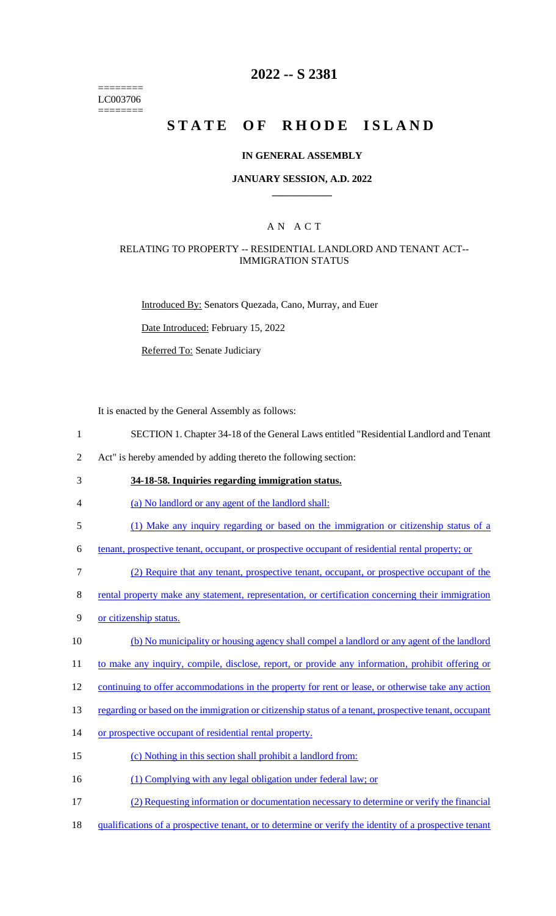======== LC003706 ========

# **2022 -- S 2381**

# **STATE OF RHODE ISLAND**

### **IN GENERAL ASSEMBLY**

### **JANUARY SESSION, A.D. 2022 \_\_\_\_\_\_\_\_\_\_\_\_**

### A N A C T

### RELATING TO PROPERTY -- RESIDENTIAL LANDLORD AND TENANT ACT-- IMMIGRATION STATUS

Introduced By: Senators Quezada, Cano, Murray, and Euer

Date Introduced: February 15, 2022

Referred To: Senate Judiciary

It is enacted by the General Assembly as follows:

1 SECTION 1. Chapter 34-18 of the General Laws entitled "Residential Landlord and Tenant

2 Act" is hereby amended by adding thereto the following section:

- 3 **34-18-58. Inquiries regarding immigration status.**
- 4 (a) No landlord or any agent of the landlord shall:
- 5 (1) Make any inquiry regarding or based on the immigration or citizenship status of a

6 tenant, prospective tenant, occupant, or prospective occupant of residential rental property; or

- 7 (2) Require that any tenant, prospective tenant, occupant, or prospective occupant of the
- 8 rental property make any statement, representation, or certification concerning their immigration
- 9 or citizenship status.
- 10 (b) No municipality or housing agency shall compel a landlord or any agent of the landlord

11 to make any inquiry, compile, disclose, report, or provide any information, prohibit offering or

12 continuing to offer accommodations in the property for rent or lease, or otherwise take any action

13 regarding or based on the immigration or citizenship status of a tenant, prospective tenant, occupant

- 14 or prospective occupant of residential rental property.
- 15 (c) Nothing in this section shall prohibit a landlord from:
- 16 (1) Complying with any legal obligation under federal law; or
- 17 (2) Requesting information or documentation necessary to determine or verify the financial
- 18 qualifications of a prospective tenant, or to determine or verify the identity of a prospective tenant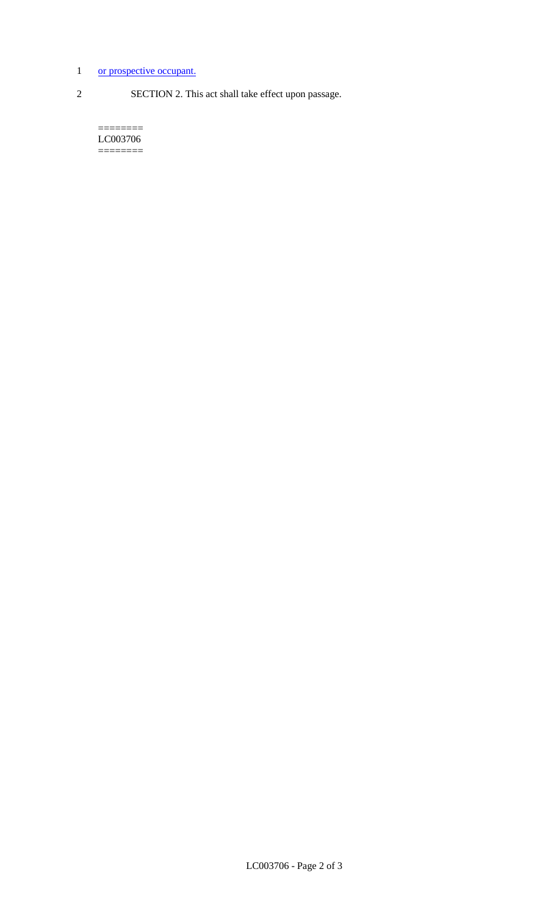# 1 or prospective occupant.

2 SECTION 2. This act shall take effect upon passage.

======== LC003706 ========